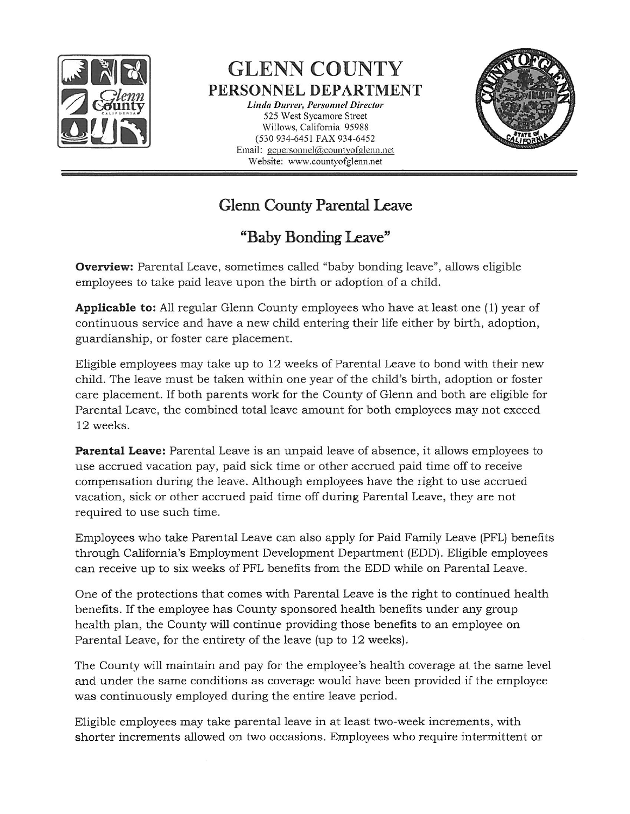

**GLENN COUNTY** PERSONNEL DEPARTMENT

> *Linda Durrer, Personnel Director* 525 West Sycamore Street Willows, California 95988 (530 934-6451 FAX 934-6452 Email: gcpersonnel@countyofglenn.net Website: www.countyofglenn.net



## Glenn County Parental Leave

## " Baby Bonding Leave"

**Overview:** Parental Leave, sometimes called "baby bonding leave", allows eligible employees to take paid leave upon the birth or adoption of a child.

**Applicable to:** All regular Glenn County employees who have at least one (1) year of continuous service and have a new child entering their life either by birth, adoption, guardianship, or foster care placement.

Eligible employees may take up to 12 weeks of Parental Leave to bond with their new child. The leave must be taken within one year of the child's birth, adoption or foster care placement. If both parents work for the County of Glenn and both are eligible for Parental Leave, the combined total leave amount for both employees may not exceed 12 weeks.

**Parental Leave:** Parental Leave is an unpaid leave of absence, it allows employees to use accrued vacation pay, paid sick time or other accrued paid time off to receive compensation during the leave. Although employees have the right to use accrued vacation, sick or other accrued paid time off during Parental Leave, they are not required to use such time.

Employees who take Parental Leave can also apply for Paid Family Leave (PFL) benefits through California's Employment Development Department (EDD). Eligible employees can receive up to six weeks of PFL benefits from the EDD while on Parental Leave.

One of the protections that comes with Parental Leave is the right to continued health benefits. If the employee has County sponsored health benefits under any group health plan, the County will continue providing those benefits to an employee on Parental Leave, for the entirety of the leave (up to 12 weeks).

The County will maintain and pay for the employee's health coverage at the same level and under the same conditions as coverage would have been provided if the employee was continuously employed during the entire leave period.

Eligible employees may take parental leave in at least two-week increments, with shorter increments allowed on two occasions. Employees who require intermittent or